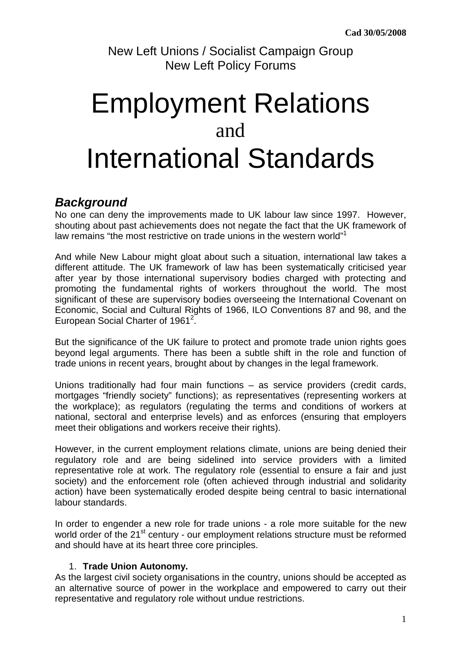New Left Unions / Socialist Campaign Group New Left Policy Forums

# Employment Relations and International Standards

# **Background**

No one can deny the improvements made to UK labour law since 1997. However, shouting about past achievements does not negate the fact that the UK framework of law remains "the most restrictive on trade unions in the western world"<sup>1</sup>

And while New Labour might gloat about such a situation, international law takes a different attitude. The UK framework of law has been systematically criticised year after year by those international supervisory bodies charged with protecting and promoting the fundamental rights of workers throughout the world. The most significant of these are supervisory bodies overseeing the International Covenant on Economic, Social and Cultural Rights of 1966, ILO Conventions 87 and 98, and the European Social Charter of 1961<sup>2</sup>.

But the significance of the UK failure to protect and promote trade union rights goes beyond legal arguments. There has been a subtle shift in the role and function of trade unions in recent years, brought about by changes in the legal framework.

Unions traditionally had four main functions – as service providers (credit cards, mortgages "friendly society" functions); as representatives (representing workers at the workplace); as regulators (regulating the terms and conditions of workers at national, sectoral and enterprise levels) and as enforces (ensuring that employers meet their obligations and workers receive their rights).

However, in the current employment relations climate, unions are being denied their regulatory role and are being sidelined into service providers with a limited representative role at work. The regulatory role (essential to ensure a fair and just society) and the enforcement role (often achieved through industrial and solidarity action) have been systematically eroded despite being central to basic international labour standards.

In order to engender a new role for trade unions - a role more suitable for the new world order of the 21<sup>st</sup> century - our employment relations structure must be reformed and should have at its heart three core principles.

## 1. **Trade Union Autonomy.**

As the largest civil society organisations in the country, unions should be accepted as an alternative source of power in the workplace and empowered to carry out their representative and regulatory role without undue restrictions.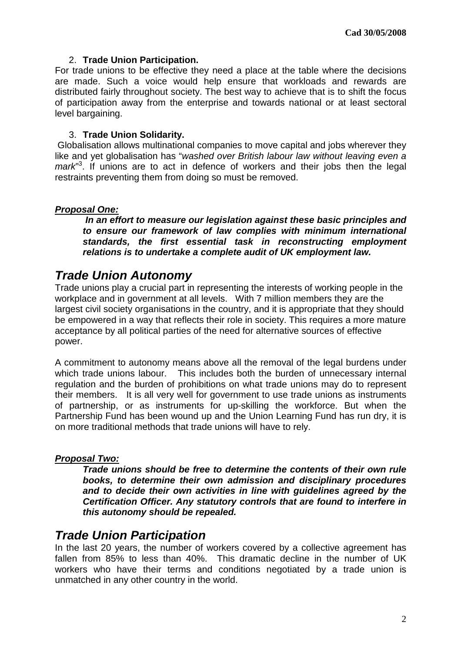## 2. **Trade Union Participation.**

For trade unions to be effective they need a place at the table where the decisions are made. Such a voice would help ensure that workloads and rewards are distributed fairly throughout society. The best way to achieve that is to shift the focus of participation away from the enterprise and towards national or at least sectoral level bargaining.

#### 3. **Trade Union Solidarity.**

 Globalisation allows multinational companies to move capital and jobs wherever they like and yet globalisation has "washed over British labour law without leaving even a mark"<sup>3</sup>. If unions are to act in defence of workers and their jobs then the legal restraints preventing them from doing so must be removed.

## **Proposal One:**

 **In an effort to measure our legislation against these basic principles and to ensure our framework of law complies with minimum international standards, the first essential task in reconstructing employment relations is to undertake a complete audit of UK employment law.** 

# **Trade Union Autonomy**

Trade unions play a crucial part in representing the interests of working people in the workplace and in government at all levels. With 7 million members they are the largest civil society organisations in the country, and it is appropriate that they should be empowered in a way that reflects their role in society. This requires a more mature acceptance by all political parties of the need for alternative sources of effective power.

A commitment to autonomy means above all the removal of the legal burdens under which trade unions labour. This includes both the burden of unnecessary internal regulation and the burden of prohibitions on what trade unions may do to represent their members. It is all very well for government to use trade unions as instruments of partnership, or as instruments for up-skilling the workforce. But when the Partnership Fund has been wound up and the Union Learning Fund has run dry, it is on more traditional methods that trade unions will have to rely.

## **Proposal Two:**

**Trade unions should be free to determine the contents of their own rule books, to determine their own admission and disciplinary procedures and to decide their own activities in line with guidelines agreed by the Certification Officer. Any statutory controls that are found to interfere in this autonomy should be repealed.** 

## **Trade Union Participation**

In the last 20 years, the number of workers covered by a collective agreement has fallen from 85% to less than 40%. This dramatic decline in the number of UK workers who have their terms and conditions negotiated by a trade union is unmatched in any other country in the world.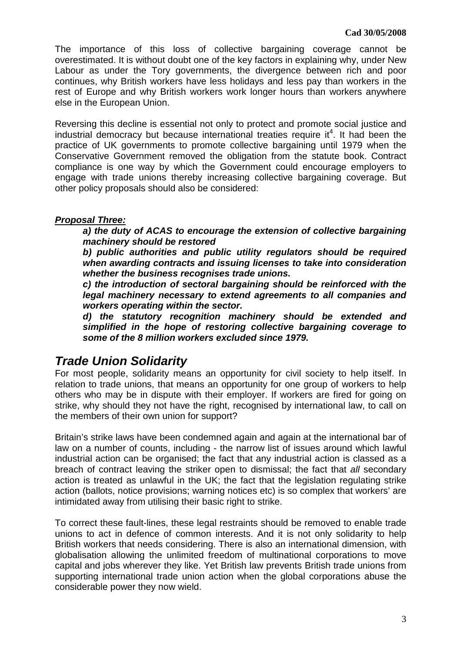The importance of this loss of collective bargaining coverage cannot be overestimated. It is without doubt one of the key factors in explaining why, under New Labour as under the Tory governments, the divergence between rich and poor continues, why British workers have less holidays and less pay than workers in the rest of Europe and why British workers work longer hours than workers anywhere else in the European Union.

Reversing this decline is essential not only to protect and promote social justice and industrial democracy but because international treaties require it<sup>4</sup>. It had been the practice of UK governments to promote collective bargaining until 1979 when the Conservative Government removed the obligation from the statute book. Contract compliance is one way by which the Government could encourage employers to engage with trade unions thereby increasing collective bargaining coverage. But other policy proposals should also be considered:

## **Proposal Three:**

**a) the duty of ACAS to encourage the extension of collective bargaining machinery should be restored** 

**b) public authorities and public utility regulators should be required when awarding contracts and issuing licenses to take into consideration whether the business recognises trade unions.** 

**c) the introduction of sectoral bargaining should be reinforced with the legal machinery necessary to extend agreements to all companies and workers operating within the sector.** 

**d) the statutory recognition machinery should be extended and simplified in the hope of restoring collective bargaining coverage to some of the 8 million workers excluded since 1979.** 

# **Trade Union Solidarity**

For most people, solidarity means an opportunity for civil society to help itself. In relation to trade unions, that means an opportunity for one group of workers to help others who may be in dispute with their employer. If workers are fired for going on strike, why should they not have the right, recognised by international law, to call on the members of their own union for support?

Britain's strike laws have been condemned again and again at the international bar of law on a number of counts, including - the narrow list of issues around which lawful industrial action can be organised; the fact that any industrial action is classed as a breach of contract leaving the striker open to dismissal; the fact that all secondary action is treated as unlawful in the UK; the fact that the legislation regulating strike action (ballots, notice provisions; warning notices etc) is so complex that workers' are intimidated away from utilising their basic right to strike.

To correct these fault-lines, these legal restraints should be removed to enable trade unions to act in defence of common interests. And it is not only solidarity to help British workers that needs considering. There is also an international dimension, with globalisation allowing the unlimited freedom of multinational corporations to move capital and jobs wherever they like. Yet British law prevents British trade unions from supporting international trade union action when the global corporations abuse the considerable power they now wield.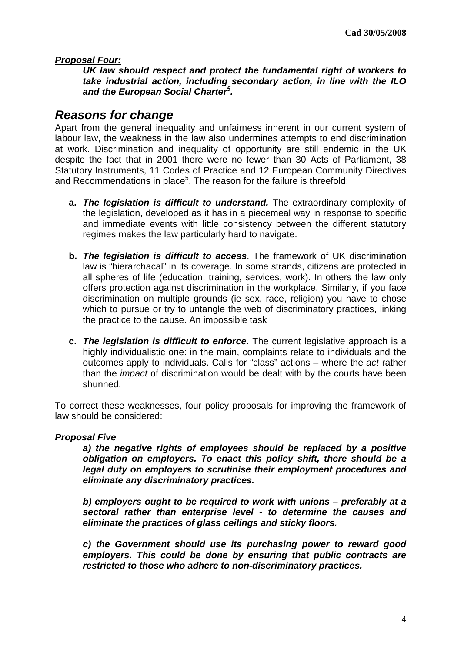### **Proposal Four:**

**UK law should respect and protect the fundamental right of workers to take industrial action, including secondary action, in line with the ILO and the European Social Charter<sup>5</sup> .** 

## **Reasons for change**

Apart from the general inequality and unfairness inherent in our current system of labour law, the weakness in the law also undermines attempts to end discrimination at work. Discrimination and inequality of opportunity are still endemic in the UK despite the fact that in 2001 there were no fewer than 30 Acts of Parliament, 38 Statutory Instruments, 11 Codes of Practice and 12 European Community Directives and Recommendations in place<sup>5</sup>. The reason for the failure is threefold:

- **a. The legislation is difficult to understand.** The extraordinary complexity of the legislation, developed as it has in a piecemeal way in response to specific and immediate events with little consistency between the different statutory regimes makes the law particularly hard to navigate.
- **b. The legislation is difficult to access**. The framework of UK discrimination law is "hierarchacal" in its coverage. In some strands, citizens are protected in all spheres of life (education, training, services, work). In others the law only offers protection against discrimination in the workplace. Similarly, if you face discrimination on multiple grounds (ie sex, race, religion) you have to chose which to pursue or try to untangle the web of discriminatory practices, linking the practice to the cause. An impossible task
- **c. The legislation is difficult to enforce.** The current legislative approach is a highly individualistic one: in the main, complaints relate to individuals and the outcomes apply to individuals. Calls for "class" actions – where the act rather than the impact of discrimination would be dealt with by the courts have been shunned.

To correct these weaknesses, four policy proposals for improving the framework of law should be considered:

#### **Proposal Five**

**a) the negative rights of employees should be replaced by a positive obligation on employers. To enact this policy shift, there should be a legal duty on employers to scrutinise their employment procedures and eliminate any discriminatory practices.** 

**b) employers ought to be required to work with unions – preferably at a sectoral rather than enterprise level - to determine the causes and eliminate the practices of glass ceilings and sticky floors.** 

**c) the Government should use its purchasing power to reward good employers. This could be done by ensuring that public contracts are restricted to those who adhere to non-discriminatory practices.**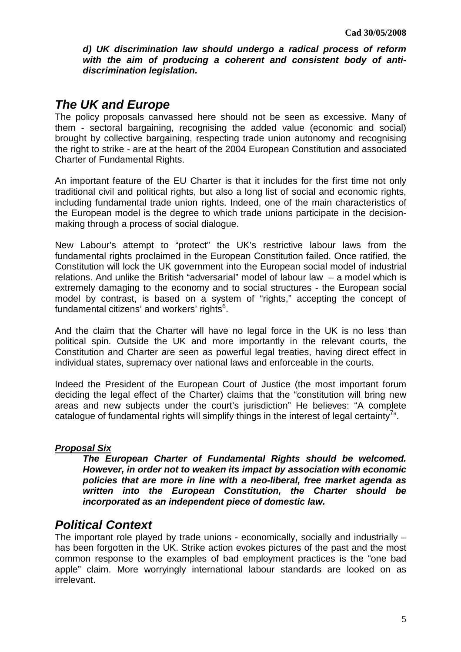**d) UK discrimination law should undergo a radical process of reform with the aim of producing a coherent and consistent body of antidiscrimination legislation.** 

## **The UK and Europe**

The policy proposals canvassed here should not be seen as excessive. Many of them - sectoral bargaining, recognising the added value (economic and social) brought by collective bargaining, respecting trade union autonomy and recognising the right to strike - are at the heart of the 2004 European Constitution and associated Charter of Fundamental Rights.

An important feature of the EU Charter is that it includes for the first time not only traditional civil and political rights, but also a long list of social and economic rights, including fundamental trade union rights. Indeed, one of the main characteristics of the European model is the degree to which trade unions participate in the decisionmaking through a process of social dialogue.

New Labour's attempt to "protect" the UK's restrictive labour laws from the fundamental rights proclaimed in the European Constitution failed. Once ratified, the Constitution will lock the UK government into the European social model of industrial relations. And unlike the British "adversarial" model of labour law – a model which is extremely damaging to the economy and to social structures - the European social model by contrast, is based on a system of "rights," accepting the concept of fundamental citizens' and workers' rights<sup>6</sup>.

And the claim that the Charter will have no legal force in the UK is no less than political spin. Outside the UK and more importantly in the relevant courts, the Constitution and Charter are seen as powerful legal treaties, having direct effect in individual states, supremacy over national laws and enforceable in the courts.

Indeed the President of the European Court of Justice (the most important forum deciding the legal effect of the Charter) claims that the "constitution will bring new areas and new subjects under the court's jurisdiction" He believes: "A complete catalogue of fundamental rights will simplify things in the interest of legal certainty<sup>7</sup>".

## **Proposal Six**

**The European Charter of Fundamental Rights should be welcomed. However, in order not to weaken its impact by association with economic policies that are more in line with a neo-liberal, free market agenda as written into the European Constitution, the Charter should be incorporated as an independent piece of domestic law.** 

## **Political Context**

The important role played by trade unions - economically, socially and industrially – has been forgotten in the UK. Strike action evokes pictures of the past and the most common response to the examples of bad employment practices is the "one bad apple" claim. More worryingly international labour standards are looked on as irrelevant.